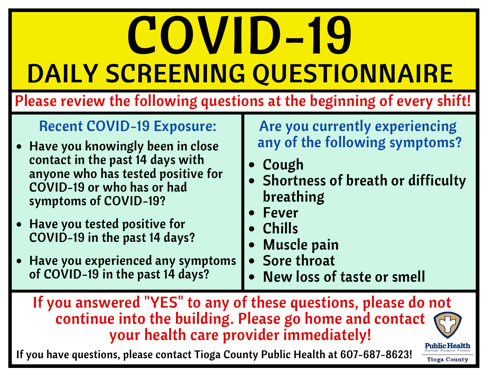## COVID-19 DAILY SCREENING QUESTIONNAIRE

Please review the following questions at the beginning of every shift!

## Recent COVID-19 Exposure:

- Have you knowingly been in close contact in the past 14 days with anyone who has tested positive for COVID-19 or who has or had symptoms of COVID-19?
- Have you tested positive for COVID-19 in the past 14 days?
- Have you experienced any symptoms of COVID-19 in the past 14 days?

Are you currently experiencing any of the following symptoms?

- Cough
- Shortness of breath or difficulty breathing
- Fever
- Chills
- Muscle pain
- Sore throat
- New loss of taste or smell

If you answered "YES" to any of these questions, please do not continue into the building. Please go home and contact your health care provider immediately!

**Public Health** 

If you have questions, please contact Tioga County Public Health at 607-687-8623!